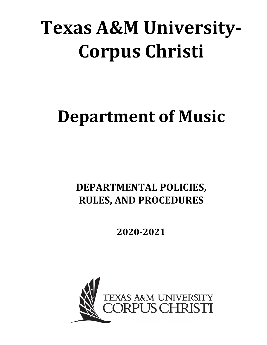# **Texas A&M University-Corpus Christi**

# **Department of Music**

# **DEPARTMENTAL POLICIES, RULES, AND PROCEDURES**

**2020-2021**

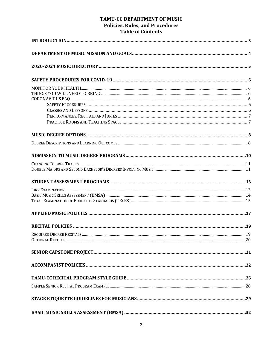# TAMU-CC DEPARTMENT OF MUSIC **Policies, Rules, and Procedures** Table of Contents

| ne or comento |
|---------------|
|               |
|               |
|               |
|               |
|               |
|               |
|               |
|               |
|               |
|               |
|               |
|               |
|               |
|               |
|               |
|               |
|               |
|               |
|               |
|               |
|               |
|               |
|               |
|               |
|               |
|               |
|               |
|               |
|               |
|               |
|               |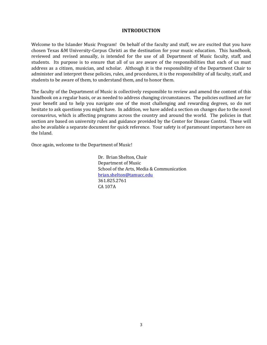# **INTRODUCTION**

Welcome to the Islander Music Program! On behalf of the faculty and stuff, we are excited that you have chosen Texas &M University-Corpus Christi as the destination for your music education. This handbook, reviewed and revised annually, is intended for the use of all Department of Music faculty, staff, and students. Its purpose is to ensure that all of us are aware of the responsibilities that each of us must address as a citizen, musician, and scholar. Although it is the responsibility of the Department Chair to administer and interpret these policies, rules, and procedures, it is the responsibility of all faculty, staff, and students to be aware of them, to understand them, and to honor them.

The faculty of the Department of Music is collectively responsible to review and amend the content of this handbook on a regular basis, or as needed to address changing circumstances. The policies outlined are for your benefit and to help you navigate one of the most challenging and rewarding degrees, so do not hesitate to ask questions you might have. In addition, we have added a section on changes due to the novel coronavirus, which is affecting programs across the country and around the world. The policies in that section are based on university rules and guidance provided by the Center for Disease Control. These will also be available a separate document for quick reference. Your safety is of paramount importance here on the Island.

Once again, welcome to the Department of Music!

Dr. Brian Shelton, Chair Department of Music School of the Arts, Media & Communication brian.shelton@tamucc.edu 361.825.2761 CA 107A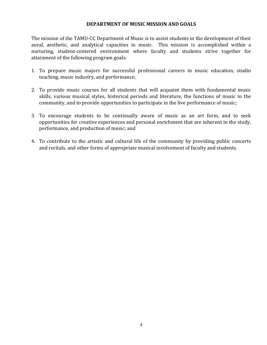# **DEPARTMENT OF MUSIC MISSION AND GOALS**

The mission of the TAMU-CC Department of Music is to assist students in the development of their aural, aesthetic, and analytical capacities in music. This mission is accomplished within a nurturing, student-centered environment where faculty and students strive together for attainment of the following program goals:

- 1. To prepare music majors for successful professional careers in music education, studio teaching, music industry, and performance;
- 2. To provide music courses for all students that will acquaint them with fundamental music skills, various musical styles, historical periods and literature, the functions of music in the community, and to provide opportunities to participate in the live performance of music;
- 3. To encourage students to be continually aware of music as an art form, and to seek opportunities for creative experiences and personal enrichment that are inherent in the study, performance, and production of music; and
- 4. To contribute to the artistic and cultural life of the community by providing public concerts and recitals, and other forms of appropriate musical involvement of faculty and students.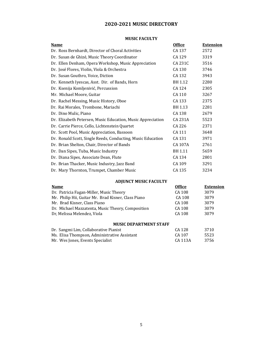# **2020-2021 MUSIC DIRECTORY**

#### **MUSIC FACULTY**

| <u>Name</u>                                                 | <b>Office</b>  | <b>Extension</b> |
|-------------------------------------------------------------|----------------|------------------|
| Dr. Ross Bernhardt, Director of Choral Activities           | CA 137         | 2572             |
| Dr. Susan de Ghizé, Music Theory Coordinator                | CA 129         | 3319             |
| Dr. Ellen Denham, Opera Workshop, Music Appreciation        | CA 231C        | 3516             |
| Dr. José Flores, Violin, Viola & Orchestra                  | CA 130         | 3746             |
| Dr. Susan Gouthro, Voice, Diction                           | CA 132         | 3943             |
| Dr. Kenneth Iyescas, Asst. Dir. of Bands, Horn              | BH 1.12        | 2280             |
| Dr. Ksenija Komljenivić, Percussion                         | CA 124         | 2305             |
| Mr. Michael Moore, Guitar                                   | CA 110         | 3267             |
| Dr. Rachel Messing, Music History, Oboe                     | CA 133         | 2375             |
| Dr. Rai Morales, Trombone, Mariachi                         | BH 1.13        | 2281             |
| Dr. Dino Mulic, Piano                                       | CA 138         | 2679             |
| Dr. Elizabeth Petersen, Music Education, Music Appreciation | <b>CA 231A</b> | 5523             |
| Dr. Carrie Pierce, Cello, Lichtenstein Quartet              | CA 226         | 2371             |
| Dr. Scott Pool, Music Appreciation, Bassoon                 | CA 111         | 3648             |
| Dr. Ronald Scott, Single Reeds, Conducting, Music Education | CA 131         | 3971             |
| Dr. Brian Shelton, Chair, Director of Bands                 | CA 107A        | 2761             |
| Dr. Dan Sipes, Tuba, Music Industry                         | BH 1.11        | 5659             |
| Dr. Diana Sipes, Associate Dean, Flute                      | CA 134         | 2801             |
| Dr. Brian Thacker, Music Industry, Jazz Band                | CA 109         | 3291             |
| Dr. Mary Thornton, Trumpet, Chamber Music                   | CA 135         | 3234             |
|                                                             |                |                  |

# **ADJUNCT MUSIC FACULTY**

| <b>Name</b>                                         | <b>Office</b> | <b>Extension</b> |
|-----------------------------------------------------|---------------|------------------|
| Dr. Patricia Fagan-Miller, Music Theory             | CA 108        | 3079             |
| Mr. Philip Hii, Guitar Mr. Brad Kisner, Class Piano | CA 108        | 3079             |
| Mr. Brad Kisner, Class Piano                        | CA 108        | 3079             |
| Dr. Michael Mazzatenta, Music Theory, Composition   | CA 108        | 3079             |
| Dr, Melissa Melendez, Viola                         | CA 108        | 3079             |
| <b>MUSIC DEPARTMENT STAFF</b>                       |               |                  |
| Dr. Sangmi Lim, Collaborative Pianist               | CA 128        | 3710             |
| Ms. Elisa Thompson, Administrative Assistant        | CA 107        | 5523             |
| Mr. Wes Jones, Events Specialist                    | CA 113A       | 3756             |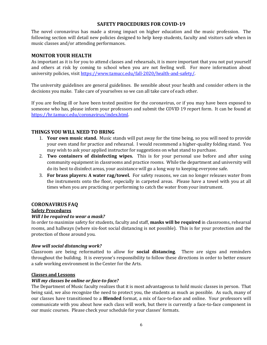# **SAFETY PROCEDURES FOR COVID-19**

The novel coronavirus has made a strong impact on higher education and the music profession. The following section will detail new policies designed to help keep students, faculty and visitors safe when in music classes and/or attending performances.

# **MONITOR YOUR HEALTH**

As important as it is for you to attend classes and rehearsals, it is more important that you not put yourself and others at risk by coming to school when you are not feeling well. For more information about university policies, visit https://www.tamucc.edu/fall-2020/health-and-safety/.

The university guidelines are general guidelines. Be sensible about your health and consider others in the decisions you make. Take care of yourselves so we can all take care of each other.

If you are feeling ill or have been tested positive for the coronavirus, or if you may have been exposed to someone who has, please inform your professors and submit the COVID 19 report form. It can be found at https://hr.tamucc.edu/coronavirus/index.html. 

# **THINGS YOU WILL NEED TO BRING**

- 1. **Your own music stand.** Music stands will put away for the time being, so you will need to provide your own stand for practice and rehearsal. I would recommend a higher-quality folding stand. You may wish to ask your applied instructor for suggestions on what stand to purchase.
- 2. **Two containers of disinfecting wipes.** This is for your personal use before and after using community equipment in classrooms and practice rooms. While the department and university will do its best to disinfect areas, your assistance will go a long way to keeping everyone safe.
- **3. For brass players: A water rag/towel.** For safety reasons, we can no longer releases water from the instruments onto the floor, especially in carpeted areas. Please have a towel with you at all times when you are practicing or performing to catch the water from your instrument.

# **CORONAVIRUS FAQ**

# **Safety Procedures**

# *Will I be required to wear a mask?*

In order to maximize safety for students, faculty and staff, masks will be required in classrooms, rehearsal rooms, and hallways (where six-foot social distancing is not possible). This is for your protection and the protection of those around you.

# *How will social distancing work?*

Classroom are being reformatted to allow for **social distancing**. There are signs and reminders throughout the building. It is everyone's responsibility to follow these directions in order to better ensure a safe working environment in the Center for the Arts.

#### **Classes and Lessons**

# *Will my classes be online or face-to-face?*

The Department of Music faculty realizes that it is most advantageous to hold music classes in person. That being said, we also recognize the need to protect you, the students as much as possible. As such, many of our classes have transitioned to a Blended format, a mix of face-to-face and online. Your professors will communicate with you about how each class will work, but there is currently a face-to-face component in our music courses. Please check your schedule for your classes' formats.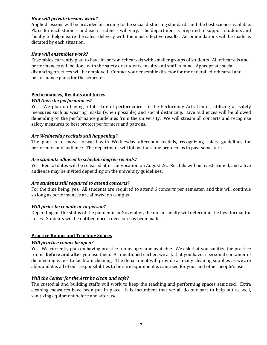### *How will private lessons work?*

Applied lessons will be provided according to the social distancing standards and the best science available. Plans for each studio – and each student – will vary. The department is prepared to support students and faculty to help ensure the safest delivery with the most effective results. Accommodations will be made as dictated by each situation.

#### *How will ensembles work?*

Ensembles currently plan to have in-person rehearsals with smaller groups of students. All rehearsals and performances will be done with the safety or students, faculty and staff in mine. Appropriate social distancing practices will be employed. Contact your ensemble director for more detailed rehearsal and performance plans for the semester.

# **Performances, Recitals and Juries**

#### **Will there be performances?**

Yes. We plan on having a full slate of performances in the Performing Arts Center, utilizing all safety measures such as wearing masks (when possible) and social distancing. Live audiences will be allowed depending on the performance guidelines from the university. We will stream all concerts and recognize safety measures to best protect performers and patrons.

### *Are Wednesday recitals still happening?*

The plan is to move forward with Wednesday afternoon recitals, recognizing safety guidelines for performers and audience. The department will follow the same protocol as in past semesters.

### *Are students allowed to schedule degree recitals?*

Yes. Recital dates will be released after convocation on August 26. Recitals will be livestreamed, and a live audience may be invited depending on the university guidelines.

#### Are students still required to attend concerts?

For the time being, yes. All students are required to attend 6 concerts per semester, and this will continue so long as performances are allowed on campus.

#### *Will juries be remote or in-person?*

Depending on the status of the pandemic in November, the music faculty will determine the best format for juries. Students will be notified once a decision has been made.

### **Practice Rooms and Teaching Spaces**

#### *Will practice rooms be open?*

Yes. We currently plan on having practice rooms open and available. We ask that you sanitize the practice rooms **before and after** you use them. As mentioned earlier, we ask that you have a personal container of disinfecting wipes to facilitate cleaning. The department will provide as many cleaning supplies as we are able, and it is all of our responsibilities to be sure equipment is sanitized for your and other people's use.

#### **Will the Center for the Arts be clean and safe?**

The custodial and building staffs will work to keep the teaching and performing spaces sanitized. Extra cleaning measures have been put in place. It is incumbent that we all do our part to help out as well, sanitizing equipment before and after use.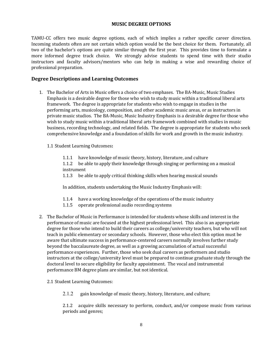# **MUSIC DEGREE OPTIONS**

TAMU-CC offers two music degree options, each of which implies a rather specific career direction. Incoming students often are not certain which option would be the best choice for them. Fortunately, all two of the bachelor's options are quite similar through the first year. This provides time to formulate a more informed degree track choice. We strongly advise students to spend time with their studio instructors and faculty advisors/mentors who can help in making a wise and rewarding choice of professional preparation.

# **Degree Descriptions and Learning Outcomes**

- 1. The Bachelor of Arts in Music offers a choice of two emphases. The BA-Music, Music Studies Emphasis is a desirable degree for those who wish to study music within a traditional liberal arts framework. The degree is appropriate for students who wish to engage in studies in the performing arts, musicology, composition, and other academic music areas, or as instructors in private music studios. The BA-Music, Music Industry Emphasis is a desirable degree for those who wish to study music within a traditional liberal arts framework combined with studies in music business, recording technology, and related fields. The degree is appropriate for students who seek comprehensive knowledge and a foundation of skills for work and growth in the music industry.
	- 1.1 Student Learning Outcomes:
		- 1.1.1 have knowledge of music theory, history, literature, and culture
		- 1.1.2 be able to apply their knowledge through singing or performing on a musical instrument
		- 1.1.3 be able to apply critical thinking skills when hearing musical sounds

In addition, students undertaking the Music Industry Emphasis will:

- 1.1.4 have a working knowledge of the operations of the music industry
- 1.1.5 operate professional audio recording systems
- 2. The Bachelor of Music in Performance is intended for students whose skills and interest in the performance of music are focused at the highest professional level. This also is an appropriate degree for those who intend to build their careers as college/university teachers, but who will not teach in public elementary or secondary schools. However, those who elect this option must be aware that ultimate success in performance-centered careers normally involves further study beyond the baccalaureate degree, as well as a growing accumulation of actual successful performance experiences. Further, those who seek dual careers as performers and studio instructors at the college/university level must be prepared to continue graduate study through the doctoral level to secure eligibility for faculty appointment. The vocal and instrumental performance BM degree plans are similar, but not identical.
	- 2.1 Student Learning Outcomes:
		- 2.1.2 gain knowledge of music theory, history, literature, and culture;

2.1.2 acquire skills necessary to perform, conduct, and/or compose music from various periods and genres;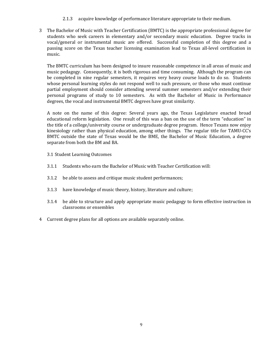- 2.1.3 acquire knowledge of performance literature appropriate to their medium.
- 3 The Bachelor of Music with Teacher Certification (BMTC) is the appropriate professional degree for students who seek careers in elementary and/or secondary music education. Degree tracks in vocal/general or instrumental music are offered. Successful completion of this degree and a passing score on the Texas teacher licensing examination lead to Texas all-level certification in music.

The BMTC curriculum has been designed to insure reasonable competence in all areas of music and music pedagogy. Consequently, it is both rigorous and time consuming. Although the program can be completed in nine regular semesters, it requires very heavy course loads to do so. Students whose personal learning styles do not respond well to such pressure, or those who must continue partial employment should consider attending several summer semesters and/or extending their personal programs of study to 10 semesters. As with the Bachelor of Music in Performance degrees, the vocal and instrumental BMTC degrees have great similarity.

A note on the name of this degree: Several years ago, the Texas Legislature enacted broad educational reform legislation. One result of this was a ban on the use of the term "education" in the title of a college/university course or undergraduate degree program. Hence Texans now enjoy kinesiology rather than physical education, among other things. The regular title for TAMU-CC's BMTC outside the state of Texas would be the BME, the Bachelor of Music Education, a degree separate from both the BM and BA.

- 3.1 Student Learning Outcomes
- 3.1.1 Students who earn the Bachelor of Music with Teacher Certification will:
- 3.1.2 be able to assess and critique music student performances;
- 3.1.3 have knowledge of music theory, history, literature and culture;
- 3.1.4 be able to structure and apply appropriate music pedagogy to form effective instruction in classrooms or ensembles
- 4 Current degree plans for all options are available separately online.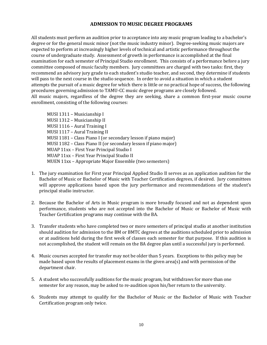# **ADMISSION TO MUSIC DEGREE PROGRAMS**

All students must perform an audition prior to acceptance into any music program leading to a bachelor's degree or for the general music minor (not the music industry minor). Degree-seeking music majors are expected to perform at increasingly higher levels of technical and artistic performance throughout the course of undergraduate study. Assessment of growth in performance is accomplished at the final examination for each semester of Principal Studio enrollment. This consists of a performance before a jury committee composed of music faculty members. Jury committees are charged with two tasks: first, they recommend an advisory jury grade to each student's studio teacher, and second, they determine if students will pass to the next course in the studio sequence. In order to avoid a situation in which a student attempts the pursuit of a music degree for which there is little or no practical hope of success, the following procedures governing admission to TAMU-CC music degree programs are closely followed. All music majors, regardless of the degree they are seeking, share a common first-year music course enrollment, consisting of the following courses:

MUSI 1311 - Musicianship I MUSI 1312 - Musicianship II MUSI 1116 - Aural Training I MUSI 1117 - Aural Training II MUSI 1181 – Class Piano I (or secondary lesson if piano major) MUSI 1182 - Class Piano II (or secondary lesson if piano major) MUAP 11xx - First Year Principal Studio I MUAP 11xx - First Year Principal Studio II MUEN 11xx - Appropriate Major Ensemble (two semesters)

- 1. The jury examination for First year Principal Applied Studio II serves as an application audition for the Bachelor of Music or Bachelor of Music with Teacher Certification degrees, if desired. Jury committees will approve applications based upon the jury performance and recommendations of the student's principal studio instructor.
- 2. Because the Bachelor of Arts in Music program is more broadly focused and not as dependent upon performance, students who are not accepted into the Bachelor of Music or Bachelor of Music with Teacher Certification programs may continue with the BA.
- 3. Transfer students who have completed two or more semesters of principal studio at another institution should audition for admission to the BM or BMTC degrees at the auditions scheduled prior to admission or at auditions held during the first week of classes each semester for that purpose. If this audition is not accomplished, the student will remain on the BA degree plan until a successful jury is performed.
- 4. Music courses accepted for transfer may not be older than 5 years. Exceptions to this policy may be made based upon the results of placement exams in the given area(s) and with permission of the department chair.
- 5. A student who successfully auditions for the music program, but withdraws for more than one semester for any reason, may be asked to re-audition upon his/her return to the university.
- 6. Students may attempt to qualify for the Bachelor of Music or the Bachelor of Music with Teacher Certification program only twice.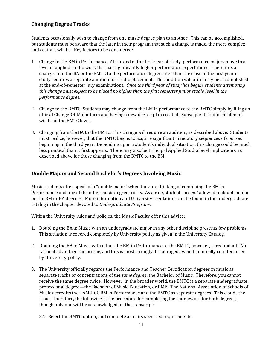# **Changing Degree Tracks**

Students occasionally wish to change from one music degree plan to another. This can be accomplished, but students must be aware that the later in their program that such a change is made, the more complex and costly it will be. Key factors to be considered:

- 1. Change to the BM in Performance: At the end of the first year of study, performance majors move to a level of applied studio work that has significantly higher performance expectations. Therefore, a change from the BA or the BMTC to the performance degree later than the close of the first year of study requires a separate audition for studio placement. This audition will ordinarily be accomplished at the end-of-semester jury examinations. Once the third year of study has begun, students attempting this change must expect to be placed no higher than the first semester junior studio level in the *performance degree.*
- 2. Change to the BMTC: Students may change from the BM in performance to the BMTC simply by filing an official Change-Of-Major form and having a new degree plan created. Subsequent studio enrollment will be at the BMTC level.
- 3. Changing from the BA to the BMTC: This change will require an audition, as described above. Students must realize, however, that the BMTC begins to acquire significant mandatory sequences of courses beginning in the third year. Depending upon a student's individual situation, this change could be much less practical than it first appears. There may also be Principal Applied Studio level implications, as described above for those changing from the BMTC to the BM.

# **Double Majors and Second Bachelor's Degrees Involving Music**

Music students often speak of a "double major" when they are thinking of combining the BM in Performance and one of the other music degree tracks. As a rule, students are *not* allowed to double major on the BM or BA degrees. More information and University regulations can be found in the undergraduate catalog in the chapter devoted to *Undergraduate Programs.* 

Within the University rules and policies, the Music Faculty offer this advice:

- 1. Doubling the BA in Music with an undergraduate major in any other discipline presents few problems. This situation is covered completely by University policy as given in the University Catalog.
- 2. Doubling the BA in Music with either the BM in Performance or the BMTC, however, is redundant. No rational advantage can accrue, and this is most strongly discouraged, even if nominally countenanced by University policy.
- 3. The University officially regards the Performance and Teacher Certification degrees in music as separate tracks or concentrations of the *same degree*, the Bachelor of Music. Therefore, you cannot receive the same degree twice. However, in the broader world, the BMTC is a separate undergraduate professional degree—the Bachelor of Music Education, or BME. The National Association of Schools of Music accredits the TAMU-CC BM in Performance and the BMTC as separate degrees. This clouds the issue. Therefore, the following is the procedure for completing the coursework for both degrees, though only one will be acknowledged on the transcript:
	- 3.1. Select the BMTC option, and complete all of its specified requirements.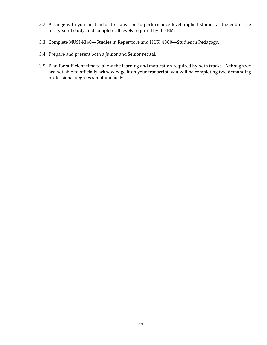- 3.2. Arrange with your instructor to transition to performance level applied studios at the end of the first year of study, and complete all levels required by the BM.
- 3.3. Complete MUSI 4340-Studies in Repertoire and MUSI 4360-Studies in Pedagogy.
- 3.4. Prepare and present both a Junior and Senior recital.
- 3.5. Plan for sufficient time to allow the learning and maturation required by both tracks. Although we are not able to officially acknowledge it on your transcript, you will be completing two demanding professional degrees simultaneously.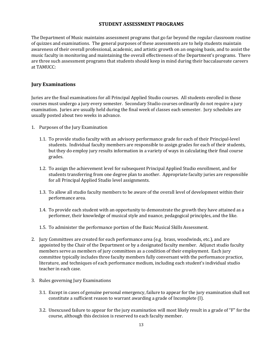# **STUDENT ASSESSMENT PROGRAMS**

The Department of Music maintains assessment programs that go far beyond the regular classroom routine of quizzes and examinations. The general purposes of these assessments are to help students maintain awareness of their overall professional, academic, and artistic growth on an ongoing basis, and to assist the music faculty in monitoring and maintaining the overall effectiveness of the Department's programs. There are three such assessment programs that students should keep in mind during their baccalaureate careers at TAMUCC:

# **Jury Examinations**

Juries are the final examinations for all Principal Applied Studio courses. All students enrolled in those courses must undergo a jury every semester. Secondary Studio courses ordinarily do not require a jury examination. Juries are usually held during the final week of classes each semester. Jury schedules are usually posted about two weeks in advance.

- 1. Purposes of the Jury Examination
	- 1.1. To provide studio faculty with an advisory performance grade for each of their Principal-level students. Individual faculty members are responsible to assign grades for each of their students, but they do employ jury results information in a variety of ways in calculating their final course grades.
	- 1.2. To assign the achievement level for subsequent Principal Applied Studio enrollment, and for students transferring from one degree plan to another. Appropriate faculty juries are responsible for all Principal Applied Studio level assignments.
	- 1.3. To allow all studio faculty members to be aware of the overall level of development within their performance area.
	- 1.4. To provide each student with an opportunity to demonstrate the growth they have attained as a performer, their knowledge of musical style and nuance, pedagogical principles, and the like.
	- 1.5. To administer the performance portion of the Basic Musical Skills Assessment.
- 2. Jury Committees are created for each performance area (e.g. brass, woodwinds, etc.), and are appointed by the Chair of the Department or by a designated faculty member. Adjunct studio faculty members serve as members of jury committees as a condition of their employment. Each jury committee typically includes three faculty members fully conversant with the performance practice, literature, and techniques of each performance medium, including each student's individual studio teacher in each case.
- 3. Rules governing Jury Examinations
	- 3.1. Except in cases of genuine personal emergency, failure to appear for the jury examination shall not constitute a sufficient reason to warrant awarding a grade of Incomplete (I).
	- 3.2. Unexcused failure to appear for the jury examination will most likely result in a grade of "F" for the course, although this decision is reserved to each faculty member.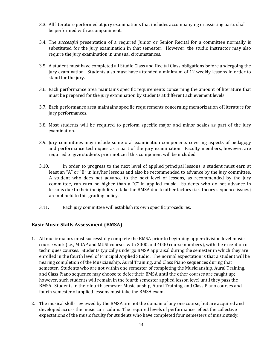- 3.3. All literature performed at jury examinations that includes accompanying or assisting parts shall be performed with accompaniment.
- 3.4. The *successful* presentation of a required Junior or Senior Recital for a committee normally is substituted for the jury examination in that semester. However, the studio instructor may also require the jury examination in unusual circumstances.
- 3.5. A student must have completed all Studio Class and Recital Class obligations before undergoing the jury examination. Students also must have attended a minimum of 12 weekly lessons in order to stand for the jury.
- 3.6. Each performance area maintains specific requirements concerning the amount of literature that must be prepared for the jury examination by students at different achievement levels.
- 3.7. Each performance area maintains specific requirements concerning memorization of literature for jury performances.
- 3.8. Most students will be required to perform specific major and minor scales as part of the jury examination.
- 3.9. Jury committees may include some oral examination components covering aspects of pedagogy and performance techniques as a part of the jury examination. Faculty members, however, are required to give students prior notice if this component will be included.
- 3.10. In order to progress to the next level of applied principal lessons, a student must earn at least an "A" or "B" in his/her lessons and also be recommended to advance by the jury committee. A student who does not advance to the next level of lessons, as recommended by the jury committee, can earn no higher than a "C" in applied music. Students who do not advance in lessons due to their ineligibility to take the BMSA due to other factors (i.e. theory sequence issues) are not held to this grading policy.
- 3.11. Each jury committee will establish its own specific procedures.

# **Basic Music Skills Assessment (BMSA)**

- 1. All music majors must successfully complete the BMSA prior to beginning upper-division level music course work (i.e., MUAP and MUSI courses with 3000 and 4000 course numbers), with the exception of techniques courses. Students typically undergo BMSA appraisal during the semester in which they are enrolled in the fourth level of Principal Applied Studio. The normal expectation is that a student will be nearing completion of the Musicianship, Aural Training, and Class Piano sequences during that semester. Students who are not within one semester of completing the Musicianship, Aural Training, and Class Piano sequence may choose to defer their BMSA until the other courses are caught up; however, such students will remain in the fourth semester applied lesson level until they pass the BMSA. Students in their fourth semester Musicianship, Aural Training, and Class Piano courses and fourth semester of applied lessons must take the BMSA exam.
- 2. The musical skills reviewed by the BMSA are not the domain of any one course, but are acquired and developed across the music curriculum. The required levels of performance reflect the collective expectations of the music faculty for students who have completed four semesters of music study.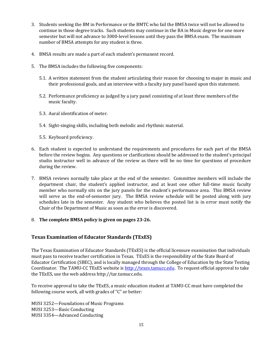- 3. Students seeking the BM in Performance or the BMTC who fail the BMSA twice will not be allowed to continue in those degree tracks. Such students may continue in the BA in Music degree for one more semester but will not advance to 3000-level lessons until they pass the BMSA exam. The maximum number of BMSA attempts for any student is three.
- 4. BMSA results are made a part of each student's permanent record.
- 5. The BMSA includes the following five components:
	- 5.1. A written statement from the student articulating their reason for choosing to major in music and their professional goals, and an interview with a faculty jury panel based upon this statement.
	- 5.2. Performance proficiency as judged by a jury panel consisting of at least three members of the music faculty.
	- 5.3. Aural identification of meter.
	- 5.4. Sight-singing skills, including both melodic and rhythmic material.
	- 5.5. Keyboard proficiency.
- 6. Each student is expected to understand the requirements and procedures for each part of the BMSA before the review begins. Any questions or clarifications should be addressed to the student's principal studio instructor well in advance of the review as there will be no time for questions of procedure during the review.
- 7. BMSA reviews normally take place at the end of the semester. Committee members will include the department chair, the student's applied instructor, and at least one other full-time music faculty member who normally sits on the jury panels for the student's performance area. This BMSA review will serve as the end-of-semester jury. The BMSA review schedule will be posted along with jury schedules late in the semester. Any student who believes the posted list is in error must notify the Chair of the Department of Music as soon as the error is discovered.
- 8. **The complete BMSA policy is given on pages 23-26.**

# **Texas Examination of Educator Standards (TExES)**

The Texas Examination of Educator Standards (TExES) is the official licensure examination that individuals must pass to receive teacher certification in Texas. TExES is the responsibility of the State Board of Educator Certification (SBEC), and is locally managed through the College of Education by the State Testing Coordinator. The TAMU-CC TExES website is http://texes.tamucc.edu. To request official approval to take the TExES, use the web address http://tar.tamucc.edu.

To receive approval to take the TExES, a music education student at TAMU-CC must have completed the following course work, all with grades of " $C$ " or better:

MUSI 3252-Foundations of Music Programs MUSI 3253-Basic Conducting MUSI 3354-Advanced Conducting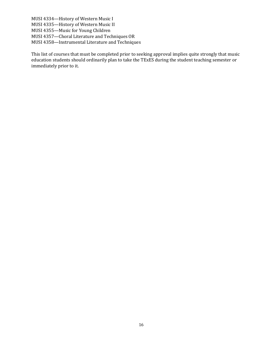MUSI 4334-History of Western Music I MUSI 4335-History of Western Music II MUSI 4355-Music for Young Children MUSI 4357-Choral Literature and Techniques OR MUSI 4358-Instrumental Literature and Techniques

This list of courses that must be completed prior to seeking approval implies quite strongly that music education students should ordinarily plan to take the TExES during the student teaching semester or immediately prior to it.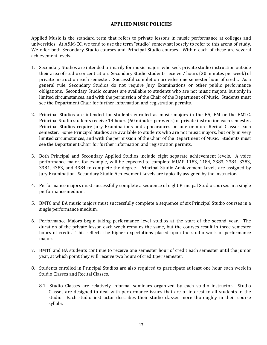# **APPLIED MUSIC POLICIES**

Applied Music is the standard term that refers to private lessons in music performance at colleges and universities. At A&M-CC, we tend to use the term "studio" somewhat loosely to refer to this arena of study. We offer both Secondary Studio courses and Principal Studio courses. Within each of these are several achievement levels.

- 1. Secondary Studios are intended primarily for music majors who seek private studio instruction outside their area of studio concentration. Secondary Studio students receive 7 hours (30 minutes per week) of private instruction each semester. Successful completion provides one semester hour of credit. As a general rule, Secondary Studios do not require Jury Examinations or other public performance obligations. Secondary Studio courses are available to students who are not music majors, but only in limited circumstances, and with the permission of the Chair of the Department of Music. Students must see the Department Chair for further information and registration permits.
- 2. Principal Studios are intended for students enrolled as music majors in the BA, BM or the BMTC. Principal Studio students receive 14 hours (60 minutes per week) of private instruction each semester. Principal Studios require Jury Examinations and appearances on one or more Recital Classes each semester. Some Principal Studios are available to students who are not music majors, but only in very limited circumstances, and with the permission of the Chair of the Department of Music. Students must see the Department Chair for further information and registration permits.
- 3. Both Principal and Secondary Applied Studios include eight separate achievement levels. A voice performance major, for example, will be expected to complete MUAP 1183, 1184, 2383, 2384, 3383, 3384, 4383, and 4384 to complete the degree. Principal Studio Achievement Levels are assigned by Jury Examination. Secondary Studio Achievement Levels are typically assigned by the instructor.
- 4. Performance majors must successfully complete a sequence of eight Principal Studio courses in a single performance medium.
- 5. BMTC and BA music majors must successfully complete a sequence of six Principal Studio courses in a single performance medium.
- 6. Performance Majors begin taking performance level studios at the start of the second year. The duration of the private lesson each week remains the same, but the courses result in three semester hours of credit. This reflects the higher expectations placed upon the studio work of performance majors.
- 7. BMTC and BA students continue to receive one semester hour of credit each semester until the junior year, at which point they will receive two hours of credit per semester.
- 8. Students enrolled in Principal Studios are also required to participate at least one hour each week in Studio Classes and Recital Classes.
	- 8.1. Studio Classes are relatively informal seminars organized by each studio instructor. Studio Classes are designed to deal with performance issues that are of interest to all students in the studio. Each studio instructor describes their studio classes more thoroughly in their course syllabi.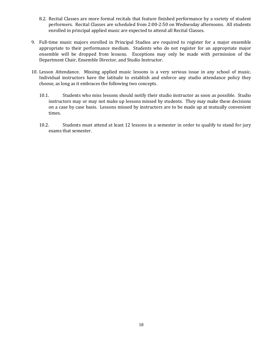- 8.2. Recital Classes are more formal recitals that feature finished performance by a variety of student performers. Recital Classes are scheduled from 2:00-2:50 on Wednesday afternoons. All students enrolled in principal applied music are expected to attend all Recital Classes.
- 9. Full-time music majors enrolled in Principal Studios are required to register for a major ensemble appropriate to their performance medium. Students who do not register for an appropriate major ensemble will be dropped from lessons. Exceptions may only be made with permission of the Department Chair, Ensemble Director, and Studio Instructor.
- 10. Lesson Attendance. Missing applied music lessons is a very serious issue in any school of music. Individual instructors have the latitude to establish and enforce any studio attendance policy they choose, as long as it embraces the following two concepts.
	- 10.1. Students who miss lessons should notify their studio instructor as soon as possible. Studio instructors may or may not make up lessons missed by students. They may make these decisions on a case by case basis. Lessons missed by instructors are to be made up at mutually convenient times.
	- 10.2. Students must attend at least 12 lessons in a semester in order to qualify to stand for jury exams that semester.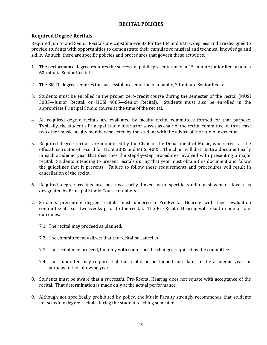# **RECITAL POLICIES**

# **Required Degree Recitals**

Required Junior and Senior Recitals are capstone events for the BM and BMTC degrees and are designed to provide students with opportunities to demonstrate their cumulative musical and technical knowledge and skills. As such, there are specific policies and procedures that govern these activities.

- 1. The performance degree requires the successful public presentation of a 45-minute Junior Recital and a 60-minute Senior Recital.
- 2. The BMTC degree requires the successful presentation of a public, 30-minute Senior Recital.
- 3. Students must be enrolled in the proper zero-credit course during the semester of the recital (MUSI) 3085—Junior Recital, or MUSI 4085—Senior Recital). Students must also be enrolled in the appropriate Principal Studio course at the time of the recital.
- 4. All required degree recitals are evaluated by faculty recital committees formed for that purpose. Typically, the student's Principal Studio instructor serves as chair of the recital committee, with at least two other music faculty members selected by the student with the advice of the Studio instructor.
- 5. Required degree recitals are monitored by the Chair of the Department of Music, who serves as the official instructor of record for MUSI 3085 and MUSI 4085. The Chair will distribute a document early in each academic year that describes the step-by-step procedures involved with presenting a major recital. Students intending to present recitals during that year must obtain this document and follow the guidelines that it presents. Failure to follow these requirements and procedures will result in cancellation of the recital.
- 6. Required degree recitals are not necessarily linked with specific studio achievement levels as designated by Principal Studio Course numbers.
- 7. Students presenting degree recitals must undergo a Pre-Recital Hearing with their evaluation committee at least two weeks prior to the recital. The Pre-Recital Hearing will result in one of four outcomes:
	- 7.1. The recital may proceed as planned.
	- 7.2. The committee may direct that the recital be cancelled.
	- 7.3. The recital may proceed, but only with some specific changes required by the committee.
	- 7.4. The committee may require that the recital be postponed until later in the academic year, or perhaps to the following year.
- 8. Students must be aware that a successful Pre-Recital Hearing does not equate with acceptance of the recital. That determination is made only at the actual performance.
- 9. Although not specifically prohibited by policy, the Music Faculty strongly recommends that students not schedule degree recitals during the student teaching semester.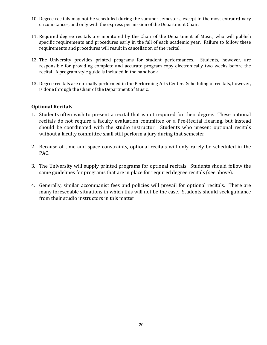- 10. Degree recitals may not be scheduled during the summer semesters, except in the most extraordinary circumstances, and only with the express permission of the Department Chair.
- 11. Required degree recitals are monitored by the Chair of the Department of Music, who will publish specific requirements and procedures early in the fall of each academic year. Failure to follow these requirements and procedures will result in cancellation of the recital.
- 12. The University provides printed programs for student performances. Students, however, are responsible for providing complete and accurate program copy electronically two weeks before the recital. A program style guide is included in the handbook.
- 13. Degree recitals are normally performed in the Performing Arts Center. Scheduling of recitals, however, is done through the Chair of the Department of Music.

# **Optional Recitals**

- 1. Students often wish to present a recital that is not required for their degree. These optional recitals do not require a faculty evaluation committee or a Pre-Recital Hearing, but instead should be coordinated with the studio instructor. Students who present optional recitals without a faculty committee shall still perform a jury during that semester.
- 2. Because of time and space constraints, optional recitals will only rarely be scheduled in the PAC.
- 3. The University will supply printed programs for optional recitals. Students should follow the same guidelines for programs that are in place for required degree recitals (see above).
- 4. Generally, similar accompanist fees and policies will prevail for optional recitals. There are many foreseeable situations in which this will not be the case. Students should seek guidance from their studio instructors in this matter.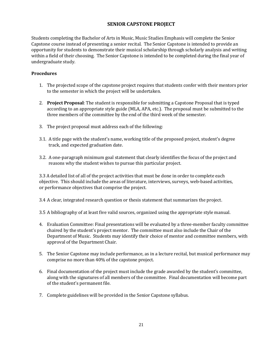# **SENIOR CAPSTONE PROJECT**

Students completing the Bachelor of Arts in Music, Music Studies Emphasis will complete the Senior Capstone course instead of presenting a senior recital. The Senior Capstone is intended to provide an opportunity for students to demonstrate their musical scholarship through scholarly analysis and writing within a field of their choosing. The Senior Capstone is intended to be completed during the final year of undergraduate study.

# **Procedures**

- 1. The projected scope of the capstone project requires that students confer with their mentors prior to the semester in which the project will be undertaken.
- 2. Project Proposal: The student is responsible for submitting a Capstone Proposal that is typed according to an appropriate style guide (MLA, APA, etc.). The proposal must be submitted to the three members of the committee by the end of the third week of the semester.
- 3. The project proposal must address each of the following:
- 3.1. A title page with the student's name, working title of the proposed project, student's degree track, and expected graduation date.
- 3.2. A one-paragraph minimum goal statement that clearly identifies the focus of the project and reasons why the student wishes to pursue this particular project.

3.3 A detailed list of all of the project activities that must be done in order to complete each objective. This should include the areas of literature, interviews, surveys, web-based activities, or performance objectives that comprise the project.

3.4 A clear, integrated research question or thesis statement that summarizes the project.

3.5 A bibliography of at least five valid sources, organized using the appropriate style manual.

- 4. Evaluation Committee: Final presentations will be evaluated by a three-member faculty committee chaired by the student's project mentor. The committee must also include the Chair of the Department of Music. Students may identify their choice of mentor and committee members, with approval of the Department Chair.
- 5. The Senior Capstone may include performance, as in a lecture recital, but musical performance may comprise no more than 40% of the capstone project.
- 6. Final documentation of the project must include the grade awarded by the student's committee, along with the signatures of all members of the committee. Final documentation will become part of the student's permanent file.
- 7. Complete guidelines will be provided in the Senior Capstone syllabus.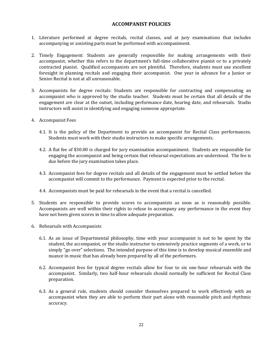# **ACCOMPANIST POLICIES**

- 1. Literature performed at degree recitals, recital classes, and at jury examinations that includes accompanying or assisting parts must be performed with accompaniment.
- 2. Timely Engagement: Students are generally responsible for making arrangements with their accompanist, whether this refers to the department's full-time collaborative pianist or to a privately contracted pianist. Qualified accompanists are not plentiful. Therefore, students must use excellent foresight in planning recitals and engaging their accompanist. One year in advance for a Junior or Senior Recital is not at all unreasonable.
- 3. Accompanists for degree recitals: Students are responsible for contracting and compensating an accompanist who is approved by the studio teacher. Students must be certain that all details of the engagement are clear at the outset, including performance date, hearing date, and rehearsals. Studio instructors will assist in identifying and engaging someone appropriate.
- 4. Accompanist Fees
	- 4.1. It is the policy of the Department to provide an accompanist for Recital Class performances. Students must work with their studio instructors to make specific arrangements.
	- 4.2. A flat fee of \$30.00 is charged for jury examination accompaniment. Students are responsible for engaging the accompanist and being certain that rehearsal expectations are understood. The fee is due before the jury examination takes place.
	- 4.3. Accompanist fees for degree recitals and all details of the engagement must be settled before the accompanist will commit to the performance. Payment is expected prior to the recital.
	- 4.4. Accompanists must be paid for rehearsals in the event that a recital is cancelled.
- 5. Students are responsible to provide scores to accompanists as soon as is reasonably possible. Accompanists are well within their rights to refuse to accompany any performance in the event they have not been given scores in time to allow adequate preparation.
- 6. Rehearsals with Accompanists
	- 6.1. As an issue of Departmental philosophy, time with your accompanist is not to be spent by the student, the accompanist, or the studio instructor to extensively practice segments of a work, or to simply "go over" selections. The intended purpose of this time is to develop musical ensemble and nuance in music that has already been prepared by all of the performers.
	- 6.2. Accompanist fees for typical degree recitals allow for four to six one-hour rehearsals with the accompanist. Similarly, two half-hour rehearsals should normally be sufficient for Recital Class preparation.
	- 6.3. As a general rule, students should consider themselves prepared to work effectively with an accompanist when they are able to perform their part alone with reasonable pitch and rhythmic accuracy.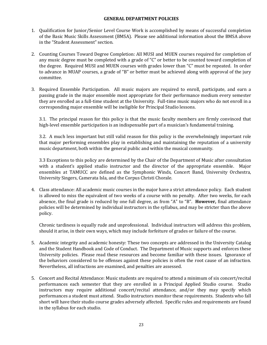#### **GENERAL DEPARTMENT POLICIES**

- 1. Qualification for Junior/Senior Level Course Work is accomplished by means of successful completion of the Basic Music Skills Assessment (BMSA). Please see additional information about the BMSA above in the "Student Assessment" section.
- 2. Counting Courses Toward Degree Completion: All MUSI and MUEN courses required for completion of any music degree must be completed with a grade of "C" or better to be counted toward completion of the degree. Required MUSI and MUEN courses with grades lower than "C" must be repeated. In order to advance in MUAP courses, a grade of "B" or better must be achieved along with approval of the jury committee.
- 3. Required Ensemble Participation. All music majors are required to enroll, participate, and earn a passing grade in the major ensemble most appropriate for their performance medium every semester they are enrolled as a full-time student at the University. Full-time music majors who do not enroll in a corresponding major ensemble will be ineligible for Principal Studio lessons.

3.1. The principal reason for this policy is that the music faculty members are firmly convinced that high-level ensemble participation is an indispensable part of a musician's fundamental training.

3.2. A much less important but still valid reason for this policy is the overwhelmingly important role that major performing ensembles play in establishing and maintaining the reputation of a university music department, both within the general public and within the musical community.

3.3 Exceptions to this policy are determined by the Chair of the Department of Music after consultation with a student's applied studio instructor and the director of the appropriate ensemble. Major ensembles at TAMUCC are defined as the Symphonic Winds, Concert Band, University Orchestra, University Singers, Camerata Isla, and the Corpus Christi Chorale.

4. Class attendance: All academic music courses in the major have a strict attendance policy. Each student is allowed to miss the equivalent of two weeks of a course with no penalty. After two weeks, for each absence, the final grade is reduced by one full degree, as from "A" to "B". **However**, final attendance policies will be determined by individual instructors in the syllabus, and may be stricter than the above policy. 

Chronic tardiness is equally rude and unprofessional. Individual instructors will address this problem, should it arise, in their own ways, which may include forfeiture of grades or failure of the course.

- 5. Academic integrity and academic honesty: These two concepts are addressed in the University Catalog and the Student Handbook and Code of Conduct. The Department of Music supports and enforces these University policies. Please read these resources and become familiar with these issues. Ignorance of the behaviors considered to be offenses against these policies is often the root cause of an infraction. Nevertheless, all infractions are examined, and penalties are assessed.
- 5. Concert and Recital Attendance: Music students are required to attend a minimum of six concert/recital performances each semester that they are enrolled in a Principal Applied Studio course. Studio instructors may require additional concert/recital attendance, and/or they may specify which performances a student must attend. Studio instructors monitor these requirements. Students who fall short will have their studio course grades adversely affected. Specific rules and requirements are found in the syllabus for each studio.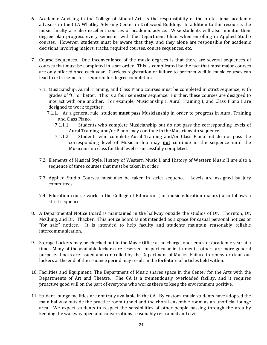- 6. Academic Advising in the College of Liberal Arts is the responsibility of the professional academic advisors in the CLA Whatley Advising Center in Driftwood Building. In addition to this resource, the music faculty are also excellent sources of academic advice. Wise students will also monitor their degree plan progress every semester with the Department Chair when enrolling in Applied Studio courses. However, students must be aware that they, and they alone are responsible for academic decisions involving majors, tracks, required courses, course sequences, etc.
- 7. Course Sequences. One inconvenience of the music degrees is that there are several sequences of courses that must be completed in a set order. This is complicated by the fact that most major courses are only offered once each year. Careless registration or failure to perform well in music courses can lead to extra semesters required for degree completion.
	- 7.1. Musicianship, Aural Training, and Class Piano courses must be completed in strict sequence, with grades of " $C$ " or better. This is a four semester sequence. Further, these courses are designed to interact with one another. For example, Musicianship I, Aural Training I, and Class Piano I are designed to work together.
		- 7.1.1. As a general rule, student **must** pass Musicianship in order to progress in Aural Training and Class Piano.
			- 7.1.1.1. Students who complete Musicianship but do not pass the corresponding levels of Aural Training and/or Piano may continue in the Musicianship sequence.
			- 7.1.1.2. Students who complete Aural Training and/or Class Piano but do not pass the corresponding level of Musicianship may **not** continue in the sequence until the Musicianship class for that level is successfully completed.
	- 7.2. Elements of Musical Style, History of Western Music I, and History of Western Music II are also a sequence of three courses that must be taken in order.
	- 7.3. Applied Studio Courses must also be taken in strict sequence. Levels are assigned by jury committees.
	- 7.4. Education course work in the College of Education (for music education majors) also follows a strict sequence.
- 8. A Departmental Notice Board is maintained in the hallway outside the studios of Dr. Thornton, Dr. McClung, and Dr. Thacker. This notice board is not intended as a space for casual personal notices or "for sale" notices. It is intended to help faculty and students maintain reasonably reliable intercommunication.
- 9. Storage Lockers may be checked out in the Music Office at no charge, one semester/academic year at a time. Many of the available lockers are reserved for particular instruments; others are more general purpose. Locks are issued and controlled by the Department of Music. Failure to renew or clean out lockers at the end of the issuance period may result in the forfeiture of articles held within.
- 10. Facilities and Equipment: The Department of Music shares space in the Center for the Arts with the Departments of Art and Theatre. The CA is a tremendously overloaded facility, and it requires proactive good will on the part of everyone who works there to keep the environment positive.
- 11. Student lounge facilities are not truly available in the CA. By custom, music students have adopted the main hallway outside the practice room tunnel and the choral ensemble room as an unofficial lounge area. We expect students to respect the sensibilities of other people passing through the area by keeping the walkway open and conversations reasonably restrained and civil.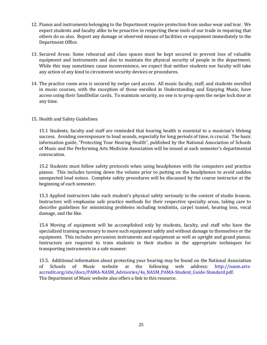- 12. Pianos and instruments belonging to the Department require protection from undue wear and tear. We expect students and faculty alike to be proactive in respecting these tools of our trade in requiring that others do so also. Report any damage or observed misuse of facilities or equipment immediately to the Department Office.
- 13. Secured Areas: Some rehearsal and class spaces must be kept secured to prevent loss of valuable equipment and instruments and also to maintain the physical security of people in the department. While this may sometimes cause inconvenience, we expect that neither students nor faculty will take any action of any kind to circumvent security devices or procedures.
- 14. The practice room area is secured by swipe card access. All music faculty, staff, and students enrolled in music courses, with the exception of those enrolled in Understanding and Enjoying Music, have access using their SandDollar cards. To maintain security, no one is to prop open the swipe lock door at any time.

### 15. Health and Safety Guidelines

15.1 Students, faculty and staff are reminded that hearing health is essential to a musician's lifelong success. Avoiding overexposure to loud sounds, especially for long periods of time, is crucial. The basic information guide, "Protecting Your Hearing Health", published by the National Association of Schools of Music and the Performing Arts Medicine Association will be issued at each semester's departmental convocation.

15.2 Students must follow safety protocols when using headphones with the computers and practice pianos. This includes turning down the volume prior to putting on the headphones to avoid sudden unexpected loud noises. Complete safety procedures will be discussed by the course instructor at the beginning of each semester.

15.3 Applied instructors take each student's physical safety seriously in the context of studio lessons. Instructors will emphasize safe practice methods for their respective specialty areas, taking care to describe guidelines for minimizing problems including tendinitis, carpel tunnel, hearing loss, vocal damage, and the like.

15.4 Moving of equipment will be accomplished only by students, faculty, and staff who have the specialized training necessary to move such equipment safely and without damage to themselves or the equipment. This includes percussion instruments and equipment as well as upright and grand pianos. Instructors are required to train students in their studios in the appropriate techniques for transporting instruments in a safe manner.

15.5. Additional information about protecting your hearing may be found on the National Association of Schools of Music website at the following web address: http://nasm.artsaccredit.org/site/docs/PAMA-NASM\_Advisories/4a\_NASM\_PAMA-Student\_Guide-Standard.pdf. The Department of Music website also offers a link to this resource.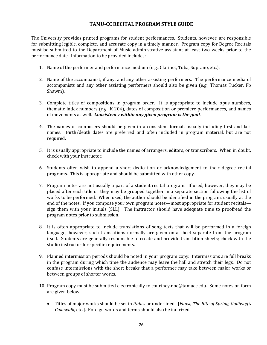# **TAMU-CC RECITAL PROGRAM STYLE GUIDE**

The University provides printed programs for student performances. Students, however, are responsible for submitting legible, complete, and accurate copy in a timely manner. Program copy for Degree Recitals must be submitted to the Department of Music administrative assistant at least two weeks prior to the performance date. Information to be provided includes:

- 1. Name of the performer and performance medium (e.g., Clarinet, Tuba, Soprano, etc.).
- 2. Name of the accompanist, if any, and any other assisting performers. The performance media of accompanists and any other assisting performers should also be given (e.g., Thomas Tucker, Fb Shawm).
- 3. Complete titles of compositions in program order. It is appropriate to include opus numbers, thematic index numbers  $(e.g., K 204)$ , dates of composition or premiere performances, and names of movements as well. *Consistency within any given program is the goal*.
- 4. The names of composers should be given in a consistent format, usually including first and last names. Birth/death dates are preferred and often included in program material, but are not required.
- 5. It is usually appropriate to include the names of arrangers, editors, or transcribers. When in doubt, check with your instructor.
- 6. Students often wish to append a short dedication or acknowledgement to their degree recital programs. This is appropriate and should be submitted with other copy.
- 7. Program notes are not usually a part of a student recital program. If used, however, they may be placed after each title or they may be grouped together in a separate section following the list of works to be performed. When used, the author should be identified in the program, usually at the end of the notes. If you compose your own program notes—most appropriate for student recitals sign them with your initials (SLL). The instructor should have adequate time to proofread the program notes prior to submission.
- 8. It is often appropriate to include translations of song texts that will be performed in a foreign language; however, such translations normally are given on a sheet separate from the program itself. Students are generally responsible to create and provide translation sheets; check with the studio instructor for specific requirements.
- 9. Planned intermission periods should be noted in your program copy. Intermissions are full breaks in the program during which time the audience may leave the hall and stretch their legs. Do not confuse intermissions with the short breaks that a performer may take between major works or between groups of shorter works.
- 10. Program copy must be submitted electronically to courtney.noe@tamucc.edu. Some notes on form are given below:
	- Titles of major works should be set in *italics* or underlined. [*Faust, The Rite of Spring, Golliwog's* Cakewalk, etc.]. Foreign words and terms should also be italicized.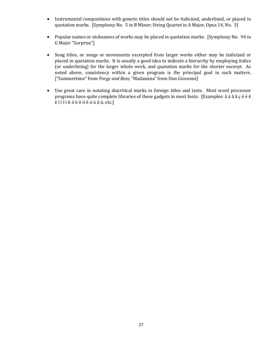- Instrumental compositions with generic titles should not be italicized, underlined, or placed in quotation marks. [Symphony No. 5 in B Minor; String Quartet in A Major, Opus 14, No. 3]
- Popular names or nicknames of works may be placed in quotation marks. [Symphony No. 94 in] G Major "Surprise"]
- Song titles, or songs or movements excerpted from larger works either may be italicized or placed in quotation marks. It is usually a good idea to indicate a hierarchy by employing italics (or underlining) for the larger whole work, and quotation marks for the shorter excerpt. As noted above, consistency within a given program is the principal goal in such matters. ["Summertime" from *Porgy and Bess*; "Madamina" from Don Giovanni]
- Use great care in notating diacritical marks in foreign titles and texts. Most word processor programs have quite complete libraries of these gadgets in most fonts. [Examples: á à ã å  $\zeta$  é è è  $\hat{e}$  $\ddot{e}$  í  $\hat{i}$  î ï ñ ó ò ô ö õ ú ù û ü, etc.]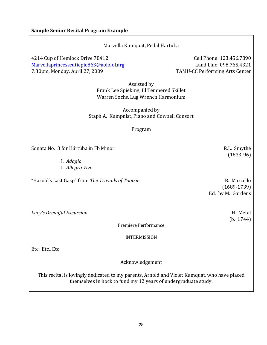| Marvella Kumquat, Pedal Hartuba                                                                                                                                |                                                                                              |  |  |  |
|----------------------------------------------------------------------------------------------------------------------------------------------------------------|----------------------------------------------------------------------------------------------|--|--|--|
| 4214 Cup of Hemlock Drive 78412<br>Marvellaprincesscutiepie863@aololol.arg<br>7:30pm, Monday, April 27, 2009                                                   | Cell Phone: 123.456.7890<br>Land Line: 098.765.4321<br><b>TAMU-CC Performing Arts Center</b> |  |  |  |
| Assisted by<br>Frank Lee Spieking, Ill Tempered Skillet<br>Warren Sochs, Lug Wrench Harmonium                                                                  |                                                                                              |  |  |  |
| Accompanied by<br>Staph A. Kumpnist, Piano and Cowbell Consort                                                                                                 |                                                                                              |  |  |  |
| Program                                                                                                                                                        |                                                                                              |  |  |  |
| Sonata No. 3 for Hártüba in Fb Minor                                                                                                                           | R.L. Smythé<br>$(1833-96)$                                                                   |  |  |  |
| I. Adagio<br>II. Allegro Vivo                                                                                                                                  |                                                                                              |  |  |  |
| "Harold's Last Gasp" from The Travails of Tootsie                                                                                                              | B. Marcello<br>$(1689 - 1739)$<br>Ed. by M. Gardens                                          |  |  |  |
| Lucy's Dreadful Excursion                                                                                                                                      | H. Metal<br>(b. 1744)                                                                        |  |  |  |
| Premiere Performance                                                                                                                                           |                                                                                              |  |  |  |
| <b>INTERMISSION</b>                                                                                                                                            |                                                                                              |  |  |  |
| Etc., Etc., Etc                                                                                                                                                |                                                                                              |  |  |  |
| Acknowledgement                                                                                                                                                |                                                                                              |  |  |  |
| This recital is lovingly dedicated to my parents, Arnold and Violet Kumquat, who have placed<br>themselves in hock to fund my 12 years of undergraduate study. |                                                                                              |  |  |  |
|                                                                                                                                                                |                                                                                              |  |  |  |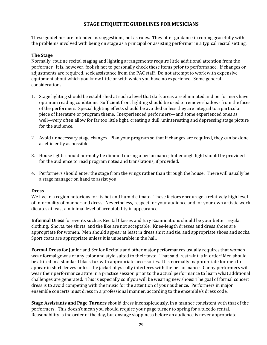# **STAGE ETIQUETTE GUIDELINES FOR MUSICIANS**

These guidelines are intended as suggestions, not as rules. They offer guidance in coping gracefully with the problems involved with being on stage as a principal or assisting performer in a typical recital setting.

# **The Stage**

Normally, routine recital staging and lighting arrangements require little additional attention from the performer. It is, however, foolish not to personally check these items prior to performance. If changes or adjustments are required, seek assistance from the PAC staff. Do not attempt to work with expensive equipment about which you know little or with which you have no experience. Some general considerations:

- 1. Stage lighting should be established at such a level that dark areas are eliminated and performers have optimum reading conditions. Sufficient front lighting should be used to remove shadows from the faces of the performers. Special lighting effects should be avoided unless they are integral to a particular piece of literature or program theme. Inexperienced performers—and some experienced ones as well—very often allow for far too little light, creating a dull, uninteresting and depressing stage picture for the audience.
- 2. Avoid unnecessary stage changes. Plan your program so that if changes are required, they can be done as efficiently as possible.
- 3. House lights should normally be dimmed during a performance, but enough light should be provided for the audience to read program notes and translations, if provided.
- 4. Performers should enter the stage from the wings rather than through the house. There will usually be a stage manager on hand to assist you.

# **Dress**

We live in a region notorious for its hot and humid climate. These factors encourage a relatively high level of informality of manner and dress. Nevertheless, respect for your audience and for your own artistic work dictates at least a minimal level of acceptability in appearance.

**Informal Dress** for events such as Recital Classes and Jury Examinations should be your better regular clothing. Shorts, tee shirts, and the like are not acceptable. Knee-length dresses and dress shoes are appropriate for women. Men should appear at least in dress shirt and tie, and appropriate shoes and socks. Sport coats are appropriate unless it is unbearable in the hall.

**Formal Dress** for Junior and Senior Recitals and other major performances usually requires that women wear formal gowns of any color and style suited to their taste. That said, restraint is in order! Men should be attired in a standard black tux with appropriate accessories. It is normally inappropriate for men to appear in shirtsleeves unless the jacket physically interferes with the performance. Canny performers will wear their performance attire in a practice session prior to the actual performance to learn what additional challenges are generated. This is especially so if you will be wearing new shoes! The goal of formal concert dress is to avoid competing with the music for the attention of your audience. Performers in major ensemble concerts must dress in a professional manner, according to the ensemble's dress code.

**Stage Assistants and Page Turners** should dress inconspicuously, in a manner consistent with that of the performers. This doesn't mean you should require your page turner to spring for a tuxedo rental. Reasonability is the order of the day, but onstage sloppiness before an audience is never appropriate.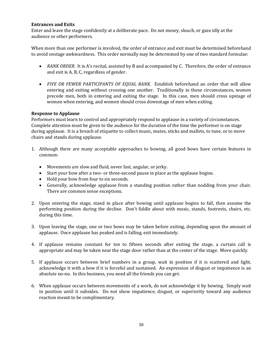#### **Entrances and Exits**

Enter and leave the stage confidently at a deliberate pace. Do not mosey, slouch, or gaze idly at the audience or other performers.

When more than one performer is involved, the order of entrance and exit must be determined beforehand to avoid onstage awkwardness. This order normally may be determined by one of two standard formulae:

- *RANK ORDER.* It is A's recital, assisted by B and accompanied by C. Therefore, the order of entrance and exit is A, B, C, regardless of gender.
- *FIVE OR FEWER PARTICIPANTS OF EQUAL RANK*. Establish beforehand an order that will allow entering and exiting without crossing one another. Traditionally in these circumstances, women precede men, both in entering and exiting the stage. In this case, men should cross upstage of women when entering, and women should cross downstage of men when exiting.

# **Response to Applause**

Performers must learn to control and appropriately respond to applause in a variety of circumstances. Complete attention must be given to the audience for the duration of the time the performer is on stage during applause. It is a breach of etiquette to collect music, mutes, sticks and mallets, to tune, or to move chairs and stands during applause.

- 1. Although there are many acceptable approaches to bowing, all good bows have certain features in common:
	- Movements are slow and fluid, never fast, angular, or jerky.
	- Start your bow after a two- or three-second pause in place as the applause begins.
	- Hold your bow from four to six seconds.
	- Generally, acknowledge applause from a standing position rather than nodding from your chair. There are common sense exceptions.
- 2. Upon entering the stage, stand in place after bowing until applause begins to fall, then assume the performing position during the decline. Don't fiddle about with music, stands, footrests, chairs, etc. during this time.
- 3. Upon leaving the stage, one or two bows may be taken before exiting, depending upon the amount of applause. Once applause has peaked and is falling, exit immediately.
- 4. If applause remains constant for ten to fifteen seconds after exiting the stage, a curtain call is appropriate and may be taken near the stage door rather than at the center of the stage. Move quickly.
- 5. If applause occurs between brief numbers in a group, wait in position if it is scattered and light, acknowledge it with a bow if it is forceful and sustained. An expression of disgust or impatience is an absolute no-no. In this business, you need all the friends you can get.
- 6. When applause occurs between movements of a work, do not acknowledge it by bowing. Simply wait in position until it subsides. Do not show impatience, disgust, or superiority toward any audience reaction meant to be complimentary.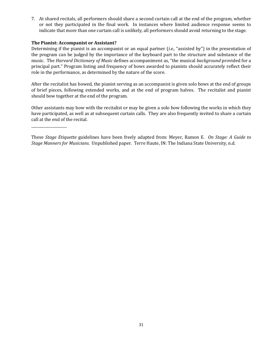7. At shared recitals, all performers should share a second curtain call at the end of the program, whether or not they participated in the final work. In instances where limited audience response seems to indicate that more than one curtain call is unlikely, all performers should avoid returning to the stage.

### **The Pianist: Accompanist or Assistant?**

\_\_\_\_\_\_\_\_\_\_\_\_\_\_\_\_\_\_\_\_

Determining if the pianist is an accompanist or an equal partner *(i.e.,* "assisted by") in the presentation of the program can be judged by the importance of the keyboard part to the structure and substance of the music. The *Harvard Dictionary of Music* defines accompaniment as, "the musical *background* provided for a principal part." Program listing and frequency of bows awarded to pianists should accurately reflect their role in the performance, as determined by the nature of the score.

After the recitalist has bowed, the pianist serving as an accompanist is given solo bows at the end of groups of brief pieces, following extended works, and at the end of program halves. The recitalist and pianist should bow together at the end of the program.

Other assistants may bow with the recitalist or may be given a solo bow following the works in which they have participated, as well as at subsequent curtain calls. They are also frequently invited to share a curtain call at the end of the recital.

These *Stage Etiquette* guidelines have been freely adapted from: Meyer, Ramon E. On *Stage: A Guide to Stage Manners for Musicians.* Unpublished paper. Terre Haute, IN: The Indiana State University, n.d.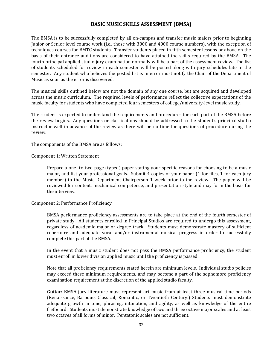# **BASIC MUSIC SKILLS ASSESSMENT (BMSA)**

The BMSA is to be successfully completed by all on-campus and transfer music majors prior to beginning Junior or Senior level course work (i.e., those with 3000 and 4000 course numbers), with the exception of techniques courses for BMTC students. Transfer students placed in fifth semester lessons or above on the basis of their entrance auditions are considered to have attained the skills required by the BMSA. The fourth principal applied studio jury examination normally will be a part of the assessment review. The list of students scheduled for review in each semester will be posted along with jury schedules late in the semester. Any student who believes the posted list is in error must notify the Chair of the Department of Music as soon as the error is discovered.

The musical skills outlined below are not the domain of any one course, but are acquired and developed across the music curriculum. The required levels of performance reflect the collective expectations of the music faculty for students who have completed four semesters of college/university-level music study.

The student is expected to understand the requirements and procedures for each part of the BMSA before the review begins. Any questions or clarifications should be addressed to the student's principal studio instructor well in advance of the review as there will be no time for questions of procedure during the review. 

The components of the BMSA are as follows:

#### Component 1: Written Statement

Prepare a one- to two-page (typed) paper stating your specific reasons for choosing to be a music major, and list your professional goals. Submit 4 copies of your paper  $(1$  for files, 1 for each jury member) to the Music Department Chairperson 1 week prior to the review. The paper will be reviewed for content, mechanical competence, and presentation style and may form the basis for the interview.

# Component 2: Performance Proficiency

BMSA performance proficiency assessments are to take place at the end of the fourth semester of private study. All students enrolled in Principal Studios are required to undergo this assessment, regardless of academic major or degree track. Students must demonstrate mastery of sufficient repertoire and adequate vocal and/or instrumental musical progress in order to successfully complete this part of the BMSA.

In the event that a music student does not pass the BMSA performance proficiency, the student must enroll in lower division applied music until the proficiency is passed.

Note that all proficiency requirements stated herein are minimum levels. Individual studio policies may exceed these minimum requirements, and may become a part of the sophomore proficiency examination requirement at the discretion of the applied studio faculty.

**Guitar:** BMSA jury literature must represent art music from at least three musical time periods (Renaissance, Baroque, Classical, Romantic, or Twentieth Century.) Students must demonstrate adequate growth in tone, phrasing, intonation, and agility, as well as knowledge of the entire fretboard. Students must demonstrate knowledge of two and three octave major scales and at least two octaves of all forms of minor. Pentatonic scales are not sufficient.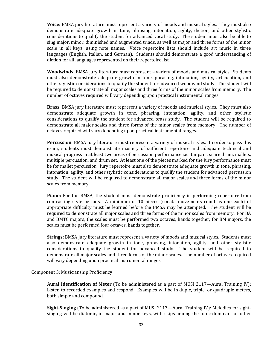**Voice**: BMSA jury literature must represent a variety of moods and musical styles. They must also demonstrate adequate growth in tone, phrasing, intonation, agility, diction, and other stylistic considerations to qualify the student for advanced vocal study. The student must also be able to sing major, minor, diminished and augmented triads, as well as major and three forms of the minor scale in all keys, using note names. Voice repertoire lists should include art music in three languages (English, Italian, and German). Students should demonstrate a good understanding of diction for all languages represented on their repertoire list.

**Woodwinds:** BMSA jury literature must represent a variety of moods and musical styles. Students must also demonstrate adequate growth in tone, phrasing, intonation, agility, articulation, and other stylistic considerations to qualify the student for advanced woodwind study. The student will be required to demonstrate all major scales and three forms of the minor scales from memory. The number of octaves required will vary depending upon practical instrumental ranges.

**Brass:** BMSA jury literature must represent a variety of moods and musical styles. They must also demonstrate adequate growth in tone, phrasing, intonation, agility, and other stylistic considerations to qualify the student for advanced brass study. The student will be required to demonstrate all major scales and three forms of the minor scales from memory. The number of octaves required will vary depending upon practical instrumental ranges.

**Percussion**: BMSA jury literature must represent a variety of musical styles. In order to pass this exam, students must demonstrate mastery of sufficient repertoire and adequate technical and musical progress in at least two areas of percussion performance *i.e.* timpani, snare drum, mallets, multiple percussion, and drum set. At least one of the pieces marked for the jury performance must be for mallet percussion. Jury repertoire must also demonstrate adequate growth in tone, phrasing, intonation, agility, and other stylistic considerations to qualify the student for advanced percussion study. The student will be required to demonstrate all major scales and three forms of the minor scales from memory.

**Piano:** For the BMSA, the student must demonstrate proficiency in performing repertoire from contrasting style periods. A minimum of  $10$  pieces (sonata movements count as one each) of appropriate difficulty must be learned before the BMSA may be attempted. The student will be required to demonstrate all major scales and three forms of the minor scales from memory. For BA and BMTC majors, the scales must be performed two octaves, hands together; for BM majors, the scales must be performed four octaves, hands together.

**Strings:** BMSA jury literature must represent a variety of moods and musical styles. Students must also demonstrate adequate growth in tone, phrasing, intonation, agility, and other stylistic considerations to qualify the student for advanced study. The student will be required to demonstrate all major scales and three forms of the minor scales. The number of octaves required will vary depending upon practical instrumental ranges.

Component 3: Musicianship Proficiency

**Aural Identification of Meter** (To be administered as a part of MUSI 2117—Aural Training IV): Listen to recorded examples and respond. Examples will be in duple, triple, or quadruple meters, both simple and compound.

**Sight-Singing** (To be administered as a part of MUSI 2117—Aural Training IV): Melodies for sightsinging will be diatonic, in major and minor keys, with skips among the tonic-dominant or other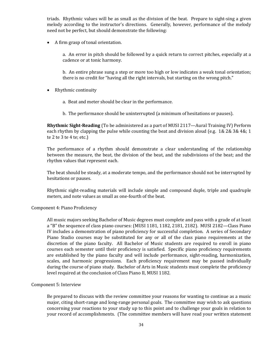triads. Rhythmic values will be as small as the division of the beat. Prepare to sight-sing a given melody according to the instructor's directions. Generally, however, performance of the melody need not be perfect, but should demonstrate the following:

• A firm grasp of tonal orientation.

a. An error in pitch should be followed by a quick return to correct pitches, especially at a cadence or at tonic harmony.

b. An entire phrase sung a step or more too high or low indicates a weak tonal orientation; there is no credit for "having all the right intervals, but starting on the wrong pitch."

- Rhythmic continuity
	- a. Beat and meter should be clear in the performance.
	- b. The performance should be uninterrupted (a minimum of hesitations or pauses).

**Rhythmic Sight-Reading** (To be administered as a part of MUSI 2117—Aural Training IV) Perform each rhythm by clapping the pulse while counting the beat and division aloud (e.g. 1& 2& 3& 4&; 1 te  $2$  te  $3$  te  $4$  te; etc.)

The performance of a rhythm should demonstrate a clear understanding of the relationship between the measure, the beat, the division of the beat, and the subdivisions of the beat; and the rhythm values that represent each.

The beat should be steady, at a moderate tempo, and the performance should not be interrupted by hesitations or pauses.

Rhythmic sight-reading materials will include simple and compound duple, triple and quadruple meters, and note values as small as one-fourth of the beat.

#### Component 4: Piano Proficiency

All music majors seeking Bachelor of Music degrees must complete and pass with a grade of at least a "B" the sequence of class piano courses: (MUSI 1181, 1182, 2181, 2182). MUSI 2182-Class Piano IV includes a demonstration of piano proficiency for successful completion. A series of Secondary Piano Studio courses may be substituted for any or all of the class piano requirements at the discretion of the piano faculty. All Bachelor of Music students are required to enroll in piano courses each semester until their proficiency is satisfied. Specific piano proficiency requirements are established by the piano faculty and will include performance, sight-reading, harmonization, scales, and harmonic progressions. Each proficiency requirement may be passed individually during the course of piano study. Bachelor of Arts in Music students must complete the proficiency level required at the conclusion of Class Piano II, MUSI 1182.

#### Component 5: Interview

Be prepared to discuss with the review committee your reasons for wanting to continue as a music major, citing short-range and long-range personal goals. The committee may wish to ask questions concerning your reactions to your study up to this point and to challenge your goals in relation to your record of accomplishments. (The committee members will have read your written statement